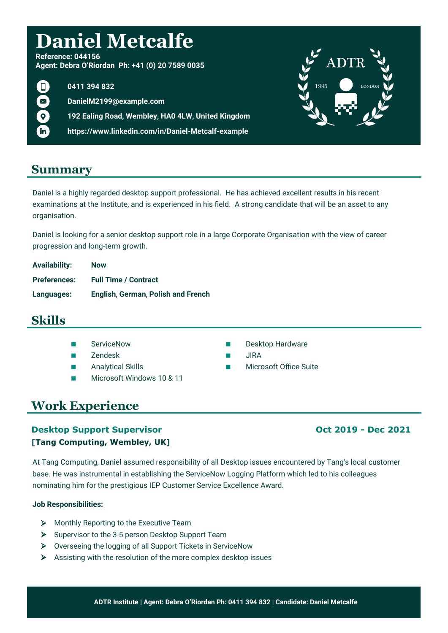# **Daniel Metcalfe**

**Reference: 044156 Agent: Debra O'Riordan Ph: +41 (0) 20 7589 0035**

 $\Box$ in

**0411 394 832**

**DanielM2199@example.com**

**192 Ealing Road, Wembley, HA0 4LW, United Kingdom**

**https://www.linkedin.com/in/Daniel-Metcalf-example**

# **Summary**

Daniel is a highly regarded desktop support professional. He has achieved excellent results in his recent examinations at the Institute, and is experienced in his field. A strong candidate that will be an asset to any organisation.

Daniel is looking for a senior desktop support role in a large Corporate Organisation with the view of career progression and long-term growth.

| <b>Availability:</b> | <b>Now</b>                         |
|----------------------|------------------------------------|
| <b>Preferences:</b>  | <b>Full Time / Contract</b>        |
| Languages:           | English, German, Polish and French |

# **Skills**

- 
- 
- 
- Microsoft Windows 10 & 11
- ServiceNow **Desktop Hardware**
- Zendesk JIRA
- Analytical Skills **Microsoft Office Suite** Microsoft Office Suite

# **Work Experience**

### **Desktop Support Supervisor COLOGIST 2019 - Dec 2021 [Tang Computing, Wembley, UK]**

At Tang Computing, Daniel assumed responsibility of all Desktop issues encountered by Tang's local customer base. He was instrumental in establishing the ServiceNow Logging Platform which led to his colleagues nominating him for the prestigious IEP Customer Service Excellence Award.

### **Job Responsibilities:**

- Monthly Reporting to the Executive Team
- $\triangleright$  Supervisor to the 3-5 person Desktop Support Team
- Overseeing the logging of all Support Tickets in ServiceNow
- $\triangleright$  Assisting with the resolution of the more complex desktop issues